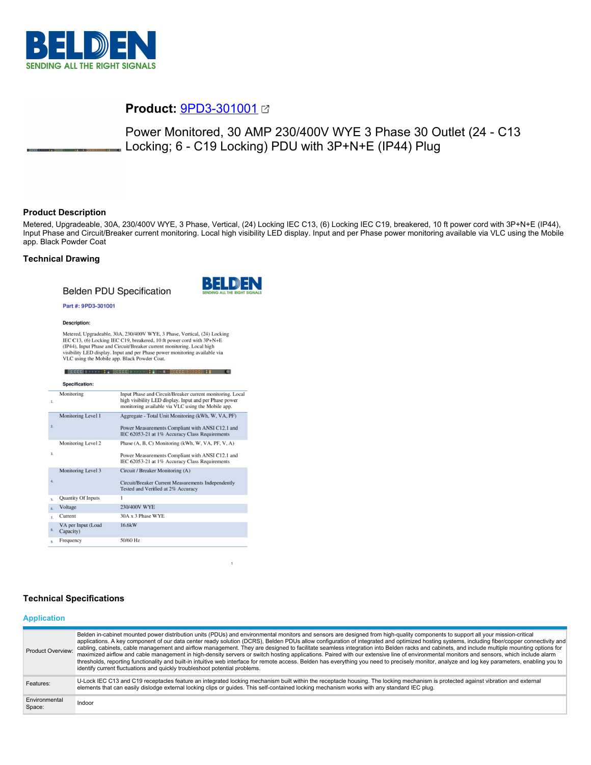

# **Product:** [9PD3-301001](https://catalog.belden.com/index.cfm?event=pd&p=PF_9PD3301001&tab=downloads)

Power Monitored, 30 AMP 230/400V WYE 3 Phase 30 Outlet (24 - C13 Locking; 6 - C19 Locking) PDU with 3P+N+E (IP44) Plug

# **Product Description**

Metered, Upgradeable, 30A, 230/400V WYE, 3 Phase, Vertical, (24) Locking IEC C13, (6) Locking IEC C19, breakered, 10 ft power cord with 3P+N+E (IP44), Input Phase and Circuit/Breaker current monitoring. Local high visibility LED display. Input and per Phase power monitoring available via VLC using the Mobile app. Black Powder Coat

# **Technical Drawing**

# **Belden PDU Specification**



#### Part #: 9PD3-301001

#### **Description:**

Metered, Upgradeable, 30A, 230/400V WYE, 3 Phase, Vertical, (24) Locking IEC C13, (6) Locking IEC C19, breakered, 10 ft power cord with 3P+N+E (IP44), Input Phase and Circui/VBreaker curent monitoring. Local high visibilit

|                | Specification:                  |                                                                                                                                                                           |
|----------------|---------------------------------|---------------------------------------------------------------------------------------------------------------------------------------------------------------------------|
| 1.             | Monitoring                      | Input Phase and Circuit/Breaker current monitoring. Local<br>high visibility LED display. Input and per Phase power<br>monitoring available via VLC using the Mobile app. |
| 2.             | Monitoring Level 1              | Aggregate - Total Unit Monitoring (kWh, W, VA, PF)<br>Power Measurements Compliant with ANSI C12.1 and<br>IEC 62053-21 at 1% Accuracy Class Requirements                  |
| 3.             | Monitoring Level 2              | Phase (A, B, C) Monitoring (kWh, W, VA, PF, V, A)<br>Power Measurements Compliant with ANSI C12.1 and<br>IEC 62053-21 at 1% Accuracy Class Requirements                   |
| 4.             | Monitoring Level 3              | Circuit / Breaker Monitoring (A)<br>Circuit/Breaker Current Measurements Independently<br>Tested and Verified at 2% Accuracy                                              |
| s.             | Quantity Of Inputs              | 1                                                                                                                                                                         |
| 6.             | Voltage                         | 230/400V WYE                                                                                                                                                              |
| $\overline{z}$ | Current                         | 30A x 3 Phase WYE                                                                                                                                                         |
| 8.             | VA per Input (Load<br>Capacity) | 16.6kW                                                                                                                                                                    |
| ۹.             | Frequency                       | 50/60 Hz                                                                                                                                                                  |

# **Technical Specifications**

#### **Application**

| Product Overview:       | Belden in-cabinet mounted power distribution units (PDUs) and environmental monitors and sensors are designed from high-quality components to support all your mission-critical<br>applications. A key component of our data center ready solution (DCRS), Belden PDUs allow configuration of integrated and optimized hosting systems, including fiber/copper connectivity and<br>cabling, cabinets, cable management and airflow management. They are designed to facilitate seamless integration into Belden racks and cabinets, and include multiple mounting options for<br>maximized airflow and cable management in high-density servers or switch hosting applications. Paired with our extensive line of environmental monitors and sensors, which include alarm<br>thresholds, reporting functionality and built-in intuitive web interface for remote access. Belden has everything you need to precisely monitor, analyze and log key parameters, enabling you to<br>identify current fluctuations and quickly troubleshoot potential problems. |
|-------------------------|-------------------------------------------------------------------------------------------------------------------------------------------------------------------------------------------------------------------------------------------------------------------------------------------------------------------------------------------------------------------------------------------------------------------------------------------------------------------------------------------------------------------------------------------------------------------------------------------------------------------------------------------------------------------------------------------------------------------------------------------------------------------------------------------------------------------------------------------------------------------------------------------------------------------------------------------------------------------------------------------------------------------------------------------------------------|
| Features:               | U-Lock IEC C13 and C19 receptacles feature an integrated locking mechanism built within the receptacle housing. The locking mechanism is protected against vibration and external<br>elements that can easily dislodge external locking clips or quides. This self-contained locking mechanism works with any standard IEC plug.                                                                                                                                                                                                                                                                                                                                                                                                                                                                                                                                                                                                                                                                                                                            |
| Environmental<br>Space: | Indoor                                                                                                                                                                                                                                                                                                                                                                                                                                                                                                                                                                                                                                                                                                                                                                                                                                                                                                                                                                                                                                                      |